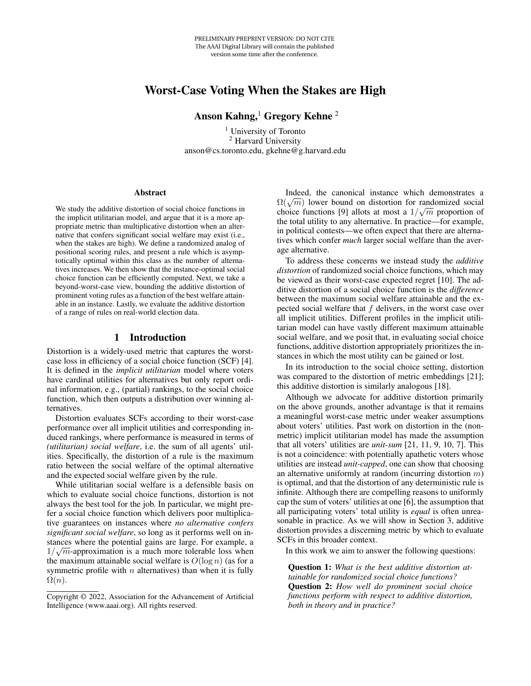# Worst-Case Voting When the Stakes are High

# Anson Kahng, $1$  Gregory Kehne<sup>2</sup>

<sup>1</sup> University of Toronto <sup>2</sup> Harvard University anson@cs.toronto.edu, gkehne@g.harvard.edu

#### **Abstract**

We study the additive distortion of social choice functions in the implicit utilitarian model, and argue that it is a more appropriate metric than multiplicative distortion when an alternative that confers significant social welfare may exist (i.e., when the stakes are high). We define a randomized analog of positional scoring rules, and present a rule which is asymptotically optimal within this class as the number of alternatives increases. We then show that the instance-optimal social choice function can be efficiently computed. Next, we take a beyond-worst-case view, bounding the additive distortion of prominent voting rules as a function of the best welfare attainable in an instance. Lastly, we evaluate the additive distortion of a range of rules on real-world election data.

## 1 Introduction

Distortion is a widely-used metric that captures the worstcase loss in efficiency of a social choice function (SCF) [4]. It is defined in the *implicit utilitarian* model where voters have cardinal utilities for alternatives but only report ordinal information, e.g., (partial) rankings, to the social choice function, which then outputs a distribution over winning alternatives.

Distortion evaluates SCFs according to their worst-case performance over all implicit utilities and corresponding induced rankings, where performance is measured in terms of *(utilitarian) social welfare*, i.e. the sum of all agents' utilities. Specifically, the distortion of a rule is the maximum ratio between the social welfare of the optimal alternative and the expected social welfare given by the rule.

While utilitarian social welfare is a defensible basis on which to evaluate social choice functions, distortion is not always the best tool for the job. In particular, we might prefer a social choice function which delivers poor multiplicative guarantees on instances where *no alternative confers significant social welfare*, so long as it performs well on instances where the potential gains are large. For example, a  $1/\sqrt{m}$ -approximation is a much more tolerable loss when the maximum attainable social welfare is  $O(\log n)$  (as for a symmetric profile with  $n$  alternatives) than when it is fully  $\Omega(n)$ .

Indeed, the canonical instance which demonstrates a maeed, the canonical instance which demonstrates a  $\Omega(\sqrt{m})$  lower bound on distortion for randomized social choice functions [9] allots at most a  $1/\sqrt{m}$  proportion of the total utility to any alternative. In practice—for example, in political contests—we often expect that there are alternatives which confer *much* larger social welfare than the average alternative.

To address these concerns we instead study the *additive distortion* of randomized social choice functions, which may be viewed as their worst-case expected regret [10]. The additive distortion of a social choice function is the *difference* between the maximum social welfare attainable and the expected social welfare that  $f$  delivers, in the worst case over all implicit utilities. Different profiles in the implicit utilitarian model can have vastly different maximum attainable social welfare, and we posit that, in evaluating social choice functions, additive distortion appropriately prioritizes the instances in which the most utility can be gained or lost.

In its introduction to the social choice setting, distortion was compared to the distortion of metric embeddings [21]; this additive distortion is similarly analogous [18].

Although we advocate for additive distortion primarily on the above grounds, another advantage is that it remains a meaningful worst-case metric under weaker assumptions about voters' utilities. Past work on distortion in the (nonmetric) implicit utilitarian model has made the assumption that all voters' utilities are *unit-sum* [21, 11, 9, 10, 7]. This is not a coincidence: with potentially apathetic voters whose utilities are instead *unit-capped*, one can show that choosing an alternative uniformly at random (incurring distortion  $m$ ) is optimal, and that the distortion of any deterministic rule is infinite. Although there are compelling reasons to uniformly cap the sum of voters' utilities at one [6], the assumption that all participating voters' total utility is *equal* is often unreasonable in practice. As we will show in Section 3, additive distortion provides a discerning metric by which to evaluate SCFs in this broader context.

In this work we aim to answer the following questions:

Question 1: *What is the best additive distortion attainable for randomized social choice functions?* Question 2: *How well do prominent social choice functions perform with respect to additive distortion, both in theory and in practice?*

Copyright © 2022, Association for the Advancement of Artificial Intelligence (www.aaai.org). All rights reserved.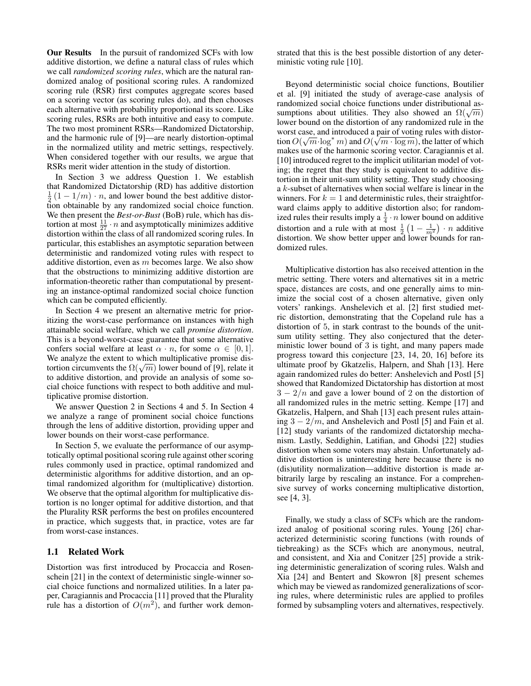Our Results In the pursuit of randomized SCFs with low additive distortion, we define a natural class of rules which we call *randomized scoring rules*, which are the natural randomized analog of positional scoring rules. A randomized scoring rule (RSR) first computes aggregate scores based on a scoring vector (as scoring rules do), and then chooses each alternative with probability proportional its score. Like scoring rules, RSRs are both intuitive and easy to compute. The two most prominent RSRs—Randomized Dictatorship, and the harmonic rule of [9]—are nearly distortion-optimal in the normalized utility and metric settings, respectively. When considered together with our results, we argue that RSRs merit wider attention in the study of distortion.

In Section 3 we address Question 1. We establish that Randomized Dictatorship (RD) has additive distortion  $\frac{1}{2}(1-1/m) \cdot n$ , and lower bound the best additive distortion obtainable by any randomized social choice function. We then present the *Best-or-Bust* (BoB) rule, which has distortion at most  $\frac{11}{27} \cdot n$  and asymptotically minimizes additive distortion within the class of all randomized scoring rules. In particular, this establishes an asymptotic separation between deterministic and randomized voting rules with respect to additive distortion, even as  $m$  becomes large. We also show that the obstructions to minimizing additive distortion are information-theoretic rather than computational by presenting an instance-optimal randomized social choice function which can be computed efficiently.

In Section 4 we present an alternative metric for prioritizing the worst-case performance on instances with high attainable social welfare, which we call *promise distortion*. This is a beyond-worst-case guarantee that some alternative confers social welfare at least  $\alpha \cdot n$ , for some  $\alpha \in [0, 1]$ . We analyze the extent to which multiplicative promise diswe analyze the extent to which multiplicative promise dis-<br>tortion circumvents the  $\Omega(\sqrt{m})$  lower bound of [9], relate it to additive distortion, and provide an analysis of some social choice functions with respect to both additive and multiplicative promise distortion.

We answer Question 2 in Sections 4 and 5. In Section 4 we analyze a range of prominent social choice functions through the lens of additive distortion, providing upper and lower bounds on their worst-case performance.

In Section 5, we evaluate the performance of our asymptotically optimal positional scoring rule against other scoring rules commonly used in practice, optimal randomized and deterministic algorithms for additive distortion, and an optimal randomized algorithm for (multiplicative) distortion. We observe that the optimal algorithm for multiplicative distortion is no longer optimal for additive distortion, and that the Plurality RSR performs the best on profiles encountered in practice, which suggests that, in practice, votes are far from worst-case instances.

## 1.1 Related Work

Distortion was first introduced by Procaccia and Rosenschein [21] in the context of deterministic single-winner social choice functions and normalized utilities. In a later paper, Caragiannis and Procaccia [11] proved that the Plurality rule has a distortion of  $O(m^2)$ , and further work demonstrated that this is the best possible distortion of any deterministic voting rule [10].

Beyond deterministic social choice functions, Boutilier et al. [9] initiated the study of average-case analysis of randomized social choice functions under distributional asrandomized social choice functions under distributional assumptions about utilities. They also showed an  $\Omega(\sqrt{m})$ lower bound on the distortion of any randomized rule in the worst case, and introduced a pair of voting rules with distortion  $O(\sqrt{m}\cdot\log^*m)$  and  $O(\sqrt{m\cdot\log m})$ , the latter of which makes use of the harmonic scoring vector. Caragiannis et al. [10] introduced regret to the implicit utilitarian model of voting; the regret that they study is equivalent to additive distortion in their unit-sum utility setting. They study choosing a k-subset of alternatives when social welfare is linear in the winners. For  $k = 1$  and deterministic rules, their straightforward claims apply to additive distortion also; for randomized rules their results imply a  $\frac{1}{4} \cdot n$  lower bound on additive distortion and a rule with at most  $\frac{1}{2} \left( 1 - \frac{1}{m^2} \right) \cdot n$  additive distortion. We show better upper and lower bounds for randomized rules.

Multiplicative distortion has also received attention in the metric setting. There voters and alternatives sit in a metric space, distances are costs, and one generally aims to minimize the social cost of a chosen alternative, given only voters' rankings. Anshelevich et al. [2] first studied metric distortion, demonstrating that the Copeland rule has a distortion of 5, in stark contrast to the bounds of the unitsum utility setting. They also conjectured that the deterministic lower bound of 3 is tight, and many papers made progress toward this conjecture [23, 14, 20, 16] before its ultimate proof by Gkatzelis, Halpern, and Shah [13]. Here again randomized rules do better: Anshelevich and Postl [5] showed that Randomized Dictatorship has distortion at most  $3 - 2/n$  and gave a lower bound of 2 on the distortion of all randomized rules in the metric setting. Kempe [17] and Gkatzelis, Halpern, and Shah [13] each present rules attaining  $3 - 2/m$ , and Anshelevich and Postl [5] and Fain et al. [12] study variants of the randomized dictatorship mechanism. Lastly, Seddighin, Latifian, and Ghodsi [22] studies distortion when some voters may abstain. Unfortunately additive distortion is uninteresting here because there is no (dis)utility normalization—additive distortion is made arbitrarily large by rescaling an instance. For a comprehensive survey of works concerning multiplicative distortion, see [4, 3].

Finally, we study a class of SCFs which are the randomized analog of positional scoring rules. Young [26] characterized deterministic scoring functions (with rounds of tiebreaking) as the SCFs which are anonymous, neutral, and consistent, and Xia and Conitzer [25] provide a striking deterministic generalization of scoring rules. Walsh and Xia [24] and Bentert and Skowron [8] present schemes which may be viewed as randomized generalizations of scoring rules, where deterministic rules are applied to profiles formed by subsampling voters and alternatives, respectively.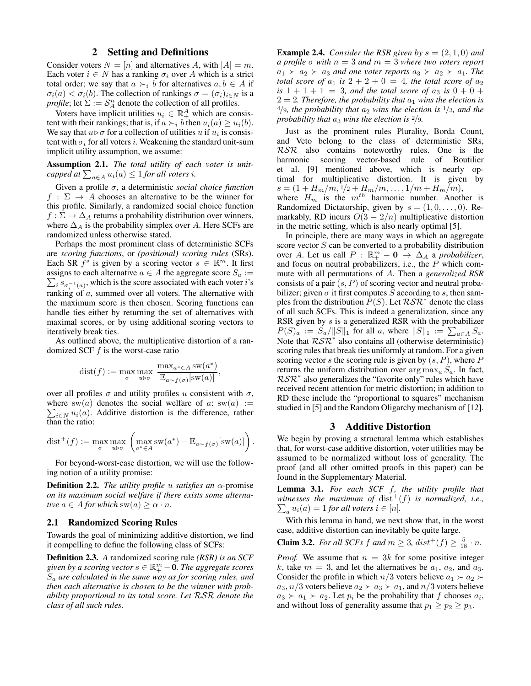## 2 Setting and Definitions

Consider voters  $N = [n]$  and alternatives A, with  $|A| = m$ . Each voter  $i \in N$  has a ranking  $\sigma_i$  over A which is a strict total order; we say that  $a \succ_i b$  for alternatives  $a, b \in A$  if  $\sigma_i(a) < \sigma_i(b)$ . The collection of rankings  $\sigma = (\sigma_i)_{i \in N}$  is a *profile*; let  $\Sigma := \mathcal{S}_A^n$  denote the collection of all profiles.

Voters have implicit utilities  $u_i \in \mathbb{R}_+^A$  which are consistent with their rankings; that is, if  $a \succ_i b$  then  $u_i(a) \geq u_i(b)$ . We say that  $u \triangleright \sigma$  for a collection of utilities u if  $u_i$  is consistent with  $\sigma_i$  for all voters i. Weakening the standard unit-sum implicit utility assumption, we assume:

Assumption 2.1. *The total utility of each voter is unitcapped at*  $\sum_{a \in A} u_i(a) \leq 1$  *for all voters i.* 

Given a profile σ, a deterministic *social choice function*  $f : \Sigma \to A$  chooses an alternative to be the winner for this profile. Similarly, a randomized social choice function  $f : \Sigma \to \Delta_A$  returns a probability distribution over winners, where  $\Delta_A$  is the probability simplex over A. Here SCFs are randomized unless otherwise stated.

Perhaps the most prominent class of deterministic SCFs are *scoring functions*, or *(positional) scoring rules* (SRs). Each SR  $\tilde{f}^s$  is given by a scoring vector  $s \in \mathbb{R}^m$ . It first assigns to each alternative  $a \in A$  the aggregate score  $S_a :=$  $\sum_i s_{\sigma_i^{-1}(a)}$ , which is the score associated with each voter *i*'s ranking of a, summed over all voters. The alternative with the maximum score is then chosen. Scoring functions can handle ties either by returning the set of alternatives with maximal scores, or by using additional scoring vectors to iteratively break ties.

As outlined above, the multiplicative distortion of a randomized SCF  $f$  is the worst-case ratio

$$
dist(f) := \max_{\sigma} \max_{u \triangleright \sigma} \frac{\max_{a^* \in A} sw(a^*)}{\mathbb{E}_{a \sim f(\sigma)}[sw(a)]},
$$

over all profiles  $\sigma$  and utility profiles u consistent with  $\sigma$ , where sw(a) denotes the social welfare of a:  $sw(a) :=$  $\sum_{i \in \mathbb{N}} u_i(a)$ . Additive distortion is the difference, rather than the ratio:

$$
\text{dist}^+(f) := \max_{\sigma} \max_{u \rhd \sigma} \left( \max_{a^* \in A} \text{sw}(a^*) - \mathbb{E}_{a \sim f(\sigma)}[\text{sw}(a)] \right)
$$

.

For beyond-worst-case distortion, we will use the following notion of a utility promise:

Definition 2.2. *The utility profile* u *satisfies an* α-promise *on its maximum social welfare if there exists some alternative*  $a \in A$  *for which* sw $(a) \geq \alpha \cdot n$ *.* 

#### 2.1 Randomized Scoring Rules

Towards the goal of minimizing additive distortion, we find it compelling to define the following class of SCFs:

Definition 2.3. *A* randomized scoring rule *(RSR) is an SCF* given by a scoring vector  $s \in \mathbb{R}^m_+ - \widetilde{\mathbf{0}}$ . The aggregate scores S<sup>a</sup> *are calculated in the same way as for scoring rules, and then each alternative is chosen to be the winner with probability proportional to its total score. Let* RSR *denote the class of all such rules.*

**Example 2.4.** *Consider the RSR given by*  $s = (2, 1, 0)$  *and a profile* σ *with* n = 3 *and* m = 3 *where two voters report*  $a_1 \succ a_2 \succ a_3$  *and one voter reports*  $a_3 \succ a_2 \succ a_1$ *. The total score of*  $a_1$  *is*  $2 + 2 + 0 = 4$ *, the total score of*  $a_2$ *is*  $1 + 1 + 1 = 3$ *, and the total score of*  $a_3$  *is*  $0 + 0 +$  $2 = 2$ . Therefore, the probability that  $a_1$  wins the election is  $4/9$ *, the probability that*  $a_2$  *wins the election is*  $1/3$ *, and the probability that*  $a_3$  *wins the election is*  $\frac{2}{9}$ *.* 

Just as the prominent rules Plurality, Borda Count, and Veto belong to the class of deterministic SRs, RSR also contains noteworthy rules. One is the harmonic scoring vector-based rule of Boutilier et al. [9] mentioned above, which is nearly optimal for multiplicative distortion. It is given by  $s = (1 + H_m/m, \frac{1}{2} + H_m/m, \ldots, \frac{1}{m} + H_m/m),$ where  $H_m$  is the  $m^{th}$  harmonic number. Another is Randomized Dictatorship, given by  $s = (1, 0, \ldots, 0)$ . Remarkably, RD incurs  $O(3 - 2/n)$  multiplicative distortion in the metric setting, which is also nearly optimal [5].

In principle, there are many ways in which an aggregate score vector  $S$  can be converted to a probability distribution over A. Let us call  $P : \mathbb{R}^m_+ - 0 \to \Delta_A$  a *probabilizer*, and focus on neutral probabilizers, i.e., the P which commute with all permutations of A. Then a *generalized RSR* consists of a pair  $(s, P)$  of scoring vector and neutral probabilizer; given  $\sigma$  it first computes S according to s, then samples from the distribution  $\overline{P}(S)$ . Let  $\mathcal{RSR}^*$  denote the class of all such SCFs. This is indeed a generalization, since any RSR given by s is a generalized RSR with the probabilizer  $P(S)_a := S_a / ||S||_1$  for all a, where  $||S||_1 := \sum_{a \in A} S_a$ . Note that  $R\mathcal{S}R^*$  also contains all (otherwise deterministic) scoring rules that break ties uniformly at random. For a given scoring vector s the scoring rule is given by  $(s, P)$ , where P returns the uniform distribution over  $\arg \max_a S_a$ . In fact,  $RSR^*$  also generalizes the "favorite only" rules which have received recent attention for metric distortion; in addition to RD these include the "proportional to squares" mechanism studied in [5] and the Random Oligarchy mechanism of [12].

#### 3 Additive Distortion

We begin by proving a structural lemma which establishes that, for worst-case additive distortion, voter utilities may be assumed to be normalized without loss of generality. The proof (and all other omitted proofs in this paper) can be found in the Supplementary Material.

Lemma 3.1. *For each SCF* f*, the utility profile that* witnesses the maximum of  $dist^+(f)$  is normalized, i.e.,  $\sum_a u_i(a) = 1$  *for all voters*  $i \in [n]$ *.* 

With this lemma in hand, we next show that, in the worst case, additive distortion can inevitably be quite large.

**Claim 3.2.** *For all SCFs*  $f$  *and*  $m \geq 3$ ,  $dist^+(f) \geq \frac{5}{18} \cdot n$ .

*Proof.* We assume that  $n = 3k$  for some positive integer k, take  $m = 3$ , and let the alternatives be  $a_1, a_2$ , and  $a_3$ . Consider the profile in which  $n/3$  voters believe  $a_1 \succ a_2 \succ$  $a_3$ ,  $n/3$  voters believe  $a_2 \succ a_3 \succ a_1$ , and  $n/3$  voters believe  $a_3 \succ a_1 \succ a_2$ . Let  $p_i$  be the probability that f chooses  $a_i$ , and without loss of generality assume that  $p_1 \geq p_2 \geq p_3$ .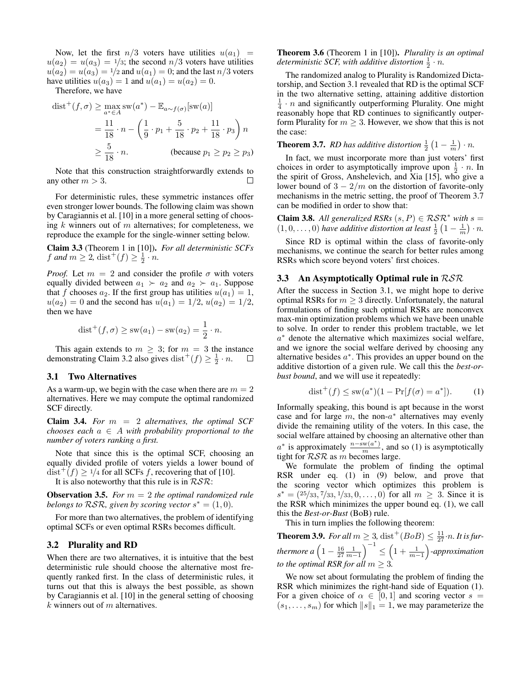Now, let the first  $n/3$  voters have utilities  $u(a_1)$  =  $u(a_2) = u(a_3) = \frac{1}{3}$ ; the second  $n/3$  voters have utilities  $u(a_2) = u(a_3) = 1/2$  and  $u(a_1) = 0$ ; and the last  $n/3$  voters have utilities  $u(a_3) = 1$  and  $u(a_1) = u(a_2) = 0$ .

Therefore, we have

$$
dist^+(f, \sigma) \ge \max_{a^* \in A} sw(a^*) - \mathbb{E}_{a \sim f(\sigma)}[sw(a)]
$$
  
= 
$$
\frac{11}{18} \cdot n - \left(\frac{1}{9} \cdot p_1 + \frac{5}{18} \cdot p_2 + \frac{11}{18} \cdot p_3\right) n
$$
  

$$
\ge \frac{5}{18} \cdot n.
$$
 (because  $p_1 \ge p_2 \ge p_3$ )

Note that this construction straightforwardly extends to any other  $m > 3$ .  $\Box$ 

For deterministic rules, these symmetric instances offer even stronger lower bounds. The following claim was shown by Caragiannis et al. [10] in a more general setting of choosing  $k$  winners out of  $m$  alternatives; for completeness, we reproduce the example for the single-winner setting below.

Claim 3.3 (Theorem 1 in [10]). *For all deterministic SCFs f* and  $m \ge 2$ , dist<sup>+</sup> $(f) \ge \frac{1}{2}$  ·*n*.

*Proof.* Let  $m = 2$  and consider the profile  $\sigma$  with voters equally divided between  $a_1 \succ a_2$  and  $a_2 \succ a_1$ . Suppose that f chooses  $a_2$ . If the first group has utilities  $u(a_1) = 1$ ,  $u(a_2) = 0$  and the second has  $u(a_1) = 1/2, u(a_2) = 1/2,$ then we have

$$
dist^+(f, \sigma) \ge sw(a_1) - sw(a_2) = \frac{1}{2} \cdot n.
$$

This again extends to  $m \geq 3$ ; for  $m = 3$  the instance demonstrating Claim 3.2 also gives dist<sup>+</sup> $(f) \ge \frac{1}{2} \cdot n$ . □

#### 3.1 Two Alternatives

As a warm-up, we begin with the case when there are  $m = 2$ alternatives. Here we may compute the optimal randomized SCF directly.

Claim 3.4. *For* m = 2 *alternatives, the optimal SCF chooses each*  $a \in A$  *with probability proportional to the number of voters ranking* a *first.*

Note that since this is the optimal SCF, choosing an equally divided profile of voters yields a lower bound of  $dist^+(f) \geq 1/4$  for all SCFs f, recovering that of [10].

It is also noteworthy that this rule is in  $RSR$ :

Observation 3.5. *For* m = 2 *the optimal randomized rule belongs to*  $RSR$ *, given by scoring vector*  $s^* = (1, 0)$ *.* 

For more than two alternatives, the problem of identifying optimal SCFs or even optimal RSRs becomes difficult.

## 3.2 Plurality and RD

When there are two alternatives, it is intuitive that the best deterministic rule should choose the alternative most frequently ranked first. In the class of deterministic rules, it turns out that this is always the best possible, as shown by Caragiannis et al. [10] in the general setting of choosing  $k$  winners out of  $m$  alternatives.

## Theorem 3.6 (Theorem 1 in [10]). *Plurality is an optimal deterministic SCF, with additive distortion*  $\frac{1}{2} \cdot n$ *.*

The randomized analog to Plurality is Randomized Dictatorship, and Section 3.1 revealed that RD is the optimal SCF in the two alternative setting, attaining additive distortion  $\frac{1}{4} \cdot n$  and significantly outperforming Plurality. One might reasonably hope that RD continues to significantly outperform Plurality for  $m \geq 3$ . However, we show that this is not the case:

**Theorem 3.7.** RD has additive distortion  $\frac{1}{2}(1-\frac{1}{m})\cdot n$ .

In fact, we must incorporate more than just voters' first choices in order to asymptotically improve upon  $\frac{1}{2} \cdot n$ . In the spirit of Gross, Anshelevich, and Xia [15], who give a lower bound of  $3 - 2/m$  on the distortion of favorite-only mechanisms in the metric setting, the proof of Theorem 3.7 can be modified in order to show that:

**Claim 3.8.** All generalized RSRs  $(s, P) \in \mathcal{RSR}^*$  with  $s =$  $(1, 0, \ldots, 0)$  *have additive distortion at least*  $\frac{1}{2}(1 - \frac{1}{m}) \cdot n$ .

Since RD is optimal within the class of favorite-only mechanisms, we continue the search for better rules among RSRs which score beyond voters' first choices.

#### 3.3 An Asymptotically Optimal rule in RSR

After the success in Section 3.1, we might hope to derive optimal RSRs for  $m \geq 3$  directly. Unfortunately, the natural formulations of finding such optimal RSRs are nonconvex max-min optimization problems which we have been unable to solve. In order to render this problem tractable, we let a <sup>∗</sup> denote the alternative which maximizes social welfare, and we ignore the social welfare derived by choosing any alternative besides  $a^*$ . This provides an upper bound on the additive distortion of a given rule. We call this the *best-orbust bound*, and we will use it repeatedly:

$$
dist^{+}(f) \le sw(a^{*})(1 - Pr[f(\sigma) = a^{*}]).
$$
 (1)

Informally speaking, this bound is apt because in the worst case and for large  $m$ , the non- $a^*$  alternatives may evenly divide the remaining utility of the voters. In this case, the social welfare attained by choosing an alternative other than  $a^*$  is approximately  $\frac{n-\text{sw}(a^*)}{m}$ , and so (1) is asymptotically tight for  $RSR$  as m becomes large.

We formulate the problem of finding the optimal RSR under eq. (1) in (9) below, and prove that the scoring vector which optimizes this problem is  $s^* = (25/33, 7/33, 1/33, 0, \dots, 0)$  for all  $m \geq 3$ . Since it is the RSR which minimizes the upper bound eq. (1), we call this the *Best-or-Bust* (BoB) rule.

This in turn implies the following theorem:

**Theorem 3.9.** For all  $m \geq 3$ ,  $dist^+(BoB) \leq \frac{11}{27} \cdot n$ . It is furthermore  $a\left(1-\frac{16}{27}\frac{1}{m-1}\right)^{-1} \leq \left(1+\frac{1}{m-1}\right)$ -approximation *to the optimal RSR for all*  $m \geq 3$ *.* 

We now set about formulating the problem of finding the RSR which minimizes the right-hand side of Equation (1). For a given choice of  $\alpha \in [0,1]$  and scoring vector  $s =$  $(s_1, \ldots, s_m)$  for which  $||s||_1 = 1$ , we may parameterize the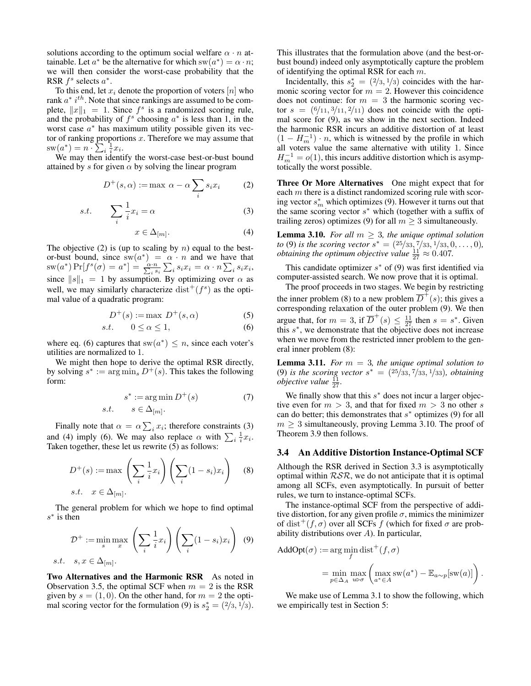solutions according to the optimum social welfare  $\alpha \cdot n$  attainable. Let  $a^*$  be the alternative for which  $sw(a^*) = \alpha \cdot n;$ we will then consider the worst-case probability that the RSR  $f^s$  selects  $a^*$ .

To this end, let  $x_i$  denote the proportion of voters  $[n]$  who rank  $a^*$  i<sup>th</sup>. Note that since rankings are assumed to be complete,  $||x||_1 = 1$ . Since  $f^s$  is a randomized scoring rule, and the probability of  $f^s$  choosing  $a^*$  is less than 1, in the worst case  $a^*$  has maximum utility possible given its vector of ranking proportions  $x$ . Therefore we may assume that  $\mathrm{sw}(a^*) = n \cdot \sum_i \frac{1}{i} x_i.$ 

We may then identify the worst-case best-or-bust bound attained by s for given  $\alpha$  by solving the linear program

$$
D^+(s, \alpha) := \max \alpha - \alpha \sum_i s_i x_i \tag{2}
$$

$$
s.t. \qquad \sum_{i} \frac{1}{i} x_i = \alpha \tag{3}
$$

$$
x \in \Delta_{[m]}.\tag{4}
$$

The objective (2) is (up to scaling by  $n$ ) equal to the bestor-bust bound, since  $sw(a^*) = \alpha \cdot n$  and we have that  $\mathrm{sw}(a^*)\Pr[f^s(\sigma)=a^*]=\frac{\alpha\cdot n}{\sum_i s_i}\sum_i s_i x_i=\alpha\cdot n\sum_i s_i x_i,$ since  $\|s\|_1 = 1$  by assumption. By optimizing over  $\alpha$  as well, we may similarly characterize  $dist^+(f^s)$  as the optimal value of a quadratic program:

$$
D^+(s) := \max D^+(s, \alpha) \tag{5}
$$

$$
s.t. \qquad 0 \le \alpha \le 1,\tag{6}
$$

where eq. (6) captures that  $sw(a^*) \leq n$ , since each voter's utilities are normalized to 1.

We might then hope to derive the optimal RSR directly, by solving  $s^* := \arg \min_s D^+(s)$ . This takes the following form:

$$
s^* := \arg\min D^+(s) \tag{7}
$$
  
s.t. 
$$
s \in \Delta_{[m]}.
$$

Finally note that  $\alpha = \alpha \sum_i x_i$ ; therefore constraints (3) and (4) imply (6). We may also replace  $\alpha$  with  $\sum_i \frac{1}{i} x_i$ . Taken together, these let us rewrite (5) as follows:

$$
D^{+}(s) := \max \left(\sum_{i} \frac{1}{i} x_{i}\right) \left(\sum_{i} (1 - s_{i}) x_{i}\right)
$$
 (8)  
s.t.  $x \in \Delta_{[m]}$ .

The general problem for which we hope to find optimal  $s^*$  is then

$$
\mathcal{D}^+ := \min_s \max_x \left( \sum_i \frac{1}{i} x_i \right) \left( \sum_i (1 - s_i) x_i \right) \tag{9}
$$
  
s.t.  $s, x \in \Delta_{[m]}.$ 

Two Alternatives and the Harmonic RSR As noted in Observation 3.5, the optimal SCF when  $m = 2$  is the RSR given by  $s = (1, 0)$ . On the other hand, for  $m = 2$  the optimal scoring vector for the formulation (9) is  $s_2^* = (2/3, 1/3)$ .

This illustrates that the formulation above (and the best-orbust bound) indeed only asymptotically capture the problem of identifying the optimal RSR for each  $m$ .

Incidentally, this  $s_2^* = (2/3, 1/3)$  coincides with the harmonic scoring vector for  $m = 2$ . However this coincidence does not continue: for  $m = 3$  the harmonic scoring vector  $s = (6/11, 3/11, 2/11)$  does not coincide with the optimal score for (9), as we show in the next section. Indeed the harmonic RSR incurs an additive distortion of at least  $(1 - H_m^{-1}) \cdot n$ , which is witnessed by the profile in which all voters value the same alternative with utility 1. Since  $H_m^{-1} = o(1)$ , this incurs additive distortion which is asymptotically the worst possible.

Three Or More Alternatives One might expect that for each  $m$  there is a distinct randomized scoring rule with scoring vector  $s_m^*$  which optimizes (9). However it turns out that the same scoring vector  $s^*$  which (together with a suffix of trailing zeros) optimizes (9) for all  $m \geq 3$  simultaneously.

**Lemma 3.10.** *For all*  $m \geq 3$ *, the unique optimal solution to* (9) *is the scoring vector*  $s^* = (25/33, 7/33, 1/33, 0, \ldots, 0)$ *, obtaining the optimum objective value*  $\frac{11}{27} \approx 0.407$ .

This candidate optimizer  $s^*$  of (9) was first identified via computer-assisted search. We now prove that it is optimal.

The proof proceeds in two stages. We begin by restricting the inner problem (8) to a new problem  $\overline{D}^+(s)$ ; this gives a corresponding relaxation of the outer problem (9). We then argue that, for  $m = 3$ , if  $\overline{D}^+(s) \leq \frac{11}{27}$  then  $s = s^*$ . Given this  $s^*$ , we demonstrate that the objective does not increase when we move from the restricted inner problem to the general inner problem (8):

Lemma 3.11. *For* m = 3*, the unique optimal solution to* (9) *is the scoring vector*  $s^* = (25/33, 7/33, 1/33)$ *, obtaining objective value*  $\frac{11}{27}$ *.* 

We finally show that this  $s^*$  does not incur a larger objective even for  $m > 3$ , and that for fixed  $m > 3$  no other s can do better; this demonstrates that  $s^*$  optimizes (9) for all  $m \geq 3$  simultaneously, proving Lemma 3.10. The proof of Theorem 3.9 then follows.

#### 3.4 An Additive Distortion Instance-Optimal SCF

Although the RSR derived in Section 3.3 is asymptotically optimal within  $RSR$ , we do not anticipate that it is optimal among all SCFs, even asymptotically. In pursuit of better rules, we turn to instance-optimal SCFs.

The instance-optimal SCF from the perspective of additive distortion, for any given profile  $\sigma$ , mimics the minimizer of dist<sup>+</sup>(f,  $\sigma$ ) over all SCFs f (which for fixed  $\sigma$  are probability distributions over A). In particular,

$$
\mathrm{AddOpt}(\sigma) := \arg\min_f \mathrm{dist}^+(f,\sigma)
$$

$$
= \min_{p \in \Delta_A} \max_{u \triangleright \sigma} \left( \max_{a^* \in A} \text{sw}(a^*) - \mathbb{E}_{a \sim p}[\text{sw}(a)] \right).
$$

We make use of Lemma 3.1 to show the following, which we empirically test in Section 5: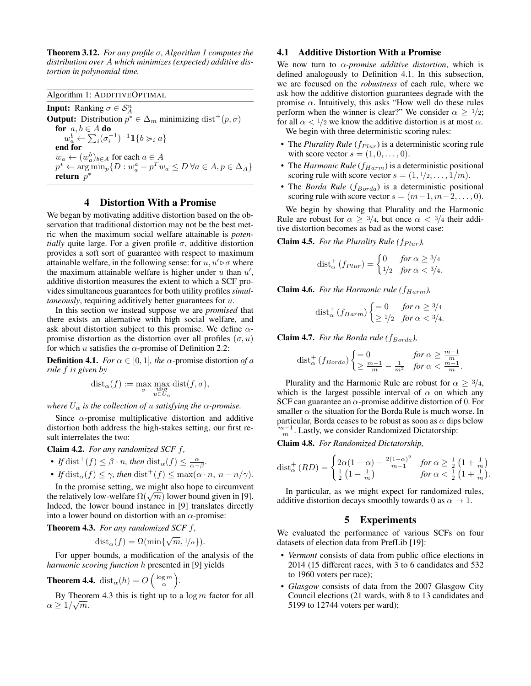Theorem 3.12. *For any profile* σ*, Algorithm 1 computes the distribution over* A *which minimizes (expected) additive distortion in polynomial time.*

Algorithm 1: ADDITIVEOPTIMAL **Input:** Ranking  $\sigma \in S_A^n$ **Output:** Distribution  $p^* \in \Delta_m$  minimizing dist<sup>+</sup> $(p, \sigma)$ for  $a, b \in A$  do  $w_a^b \leftarrow \sum_i (\sigma_i^{-1})^{-1} \mathbb{1}\{b \succ_i a\}$ end for  $w_a \leftarrow (w_a^b)_{b \in A}$  for each  $a \in A$  $p^* \leftarrow \arg\min_p \{ D : w_a^a - p^T w_a \le D \ \forall a \in A, p \in \Delta_A \}$ return  $\bar{p}^*$ 

#### 4 Distortion With a Promise

We began by motivating additive distortion based on the observation that traditional distortion may not be the best metric when the maximum social welfare attainable is *potentially* quite large. For a given profile  $\sigma$ , additive distortion provides a soft sort of guarantee with respect to maximum attainable welfare, in the following sense: for  $u, u' \triangleright \sigma$  where the maximum attainable welfare is higher under  $u$  than  $u'$ , additive distortion measures the extent to which a SCF provides simultaneous guarantees for both utility profiles *simultaneously*, requiring additively better guarantees for u.

In this section we instead suppose we are *promised* that there exists an alternative with high social welfare, and ask about distortion subject to this promise. We define  $\alpha$ promise distortion as the distortion over all profiles  $(\sigma, u)$ for which u satisfies the  $\alpha$ -promise of Definition 2.2:

**Definition 4.1.** *For*  $\alpha \in [0, 1]$ *, the*  $\alpha$ -promise distortion *of* a *rule* f *is given by*

$$
\mathrm{dist}_{\alpha}(f) := \max_{\substack{u \to \sigma \\ u \in U_{\alpha}}} \mathrm{dist}(f, \sigma),
$$

*where*  $U_{\alpha}$  *is the collection of u satisfying the*  $\alpha$ -promise.

Since  $\alpha$ -promise multiplicative distortion and additive distortion both address the high-stakes setting, our first result interrelates the two:

Claim 4.2. *For any randomized SCF* f*,*

• *If* dist<sup>+</sup> $(f) \leq \beta \cdot n$ *, then* dist<sub> $\alpha$ </sub> $(f) \leq \frac{\alpha}{\alpha - \beta}$ *.* 

• If 
$$
\text{dist}_{\alpha}(f) \leq \gamma
$$
, then  $\text{dist}^+(f) \leq \max(\alpha \cdot n, n - n/\gamma)$ .

In the promise setting, we might also hope to circumvent In the promise setting, we might also hope to circumvent<br>the relatively low-welfare  $\Omega(\sqrt{m})$  lower bound given in [9]. Indeed, the lower bound instance in [9] translates directly into a lower bound on distortion with an  $\alpha$ -promise:

Theorem 4.3. *For any randomized SCF* f*,*

dist<sub>α</sub> $(f) = \Omega(\min\{\sqrt{m}, \frac{1}{\alpha}\}).$ 

For upper bounds, a modification of the analysis of the *harmonic scoring function* h presented in [9] yields

**Theorem 4.4.** 
$$
\text{dist}_{\alpha}(h) = O\left(\frac{\log m}{\alpha}\right)
$$

By Theorem 4.3 this is tight up to a  $\log m$  factor for all  $\alpha \geq 1/\sqrt{m}$ .

*.*

### 4.1 Additive Distortion With a Promise

We now turn to  $\alpha$ -promise additive distortion, which is defined analogously to Definition 4.1. In this subsection, we are focused on the *robustness* of each rule, where we ask how the additive distortion guarantees degrade with the promise  $\alpha$ . Intuitively, this asks "How well do these rules perform when the winner is clear?" We consider  $\alpha \geq 1/2$ ; for all  $\alpha < 1/2$  we know the additive distortion is at most  $\alpha$ .

We begin with three deterministic scoring rules:

- The *Plurality Rule* ( $f_{Plur}$ ) is a deterministic scoring rule with score vector  $s = (1, 0, \ldots, 0)$ .
- The *Harmonic Rule* ( $f_{Harm}$ ) is a deterministic positional scoring rule with score vector  $s = (1, 1/2, \ldots, 1/m)$ .
- The *Borda Rule*  $(f_{Borda})$  is a deterministic positional scoring rule with score vector  $s = (m-1, m-2, \ldots, 0)$ .

We begin by showing that Plurality and the Harmonic Rule are robust for  $\alpha \geq 3/4$ , but once  $\alpha < 3/4$  their additive distortion becomes as bad as the worst case:

**Claim 4.5.** *For the Plurality Rule (* $f_{Plur}$ *),* 

$$
\text{dist}_{\alpha}^{+}(f_{Plur}) = \begin{cases} 0 & \text{for } \alpha \ge 3/4 \\ 1/2 & \text{for } \alpha < 3/4. \end{cases}
$$

**Claim 4.6.** For the Harmonic rule ( $f_{Harm}$ ),

$$
\text{dist}_{\alpha}^{+}\left(f_{Harm}\right) \begin{cases} =0 & \text{for } \alpha \geq 3/4\\ \geq 1/2 & \text{for } \alpha < 3/4. \end{cases}
$$

**Claim 4.7.** *For the Borda rule* ( $f_{Borda}$ ),

$$
\text{dist}_{\alpha}^{+}\left(f_{Borda}\right) \begin{cases} = 0 & \text{for } \alpha \ge \frac{m-1}{m} \\ \ge \frac{m-1}{m} - \frac{1}{m^{2}} & \text{for } \alpha < \frac{m-1}{m} . \end{cases}
$$

Plurality and the Harmonic Rule are robust for  $\alpha \geq 3/4$ , which is the largest possible interval of  $\alpha$  on which any SCF can guarantee an  $\alpha$ -promise additive distortion of 0. For smaller  $\alpha$  the situation for the Borda Rule is much worse. In particular, Borda ceases to be robust as soon as  $\alpha$  dips below  $\frac{m-1}{m}$ . Lastly, we consider Randomized Dictatorship:

Claim 4.8. *For Randomized Dictatorship,*

$$
\text{dist}_{\alpha}^{+}(RD) = \begin{cases} 2\alpha(1-\alpha) - \frac{2(1-\alpha)^{2}}{m-1} & \text{for } \alpha \geq \frac{1}{2} \left(1 + \frac{1}{m}\right) \\ \frac{1}{2} \left(1 - \frac{1}{m}\right) & \text{for } \alpha < \frac{1}{2} \left(1 + \frac{1}{m}\right). \end{cases}
$$

In particular, as we might expect for randomized rules, additive distortion decays smoothly towards 0 as  $\alpha \rightarrow 1$ .

## 5 Experiments

We evaluated the performance of various SCFs on four datasets of election data from PrefLib [19]:

- *Vermont* consists of data from public office elections in 2014 (15 different races, with 3 to 6 candidates and 532 to 1960 voters per race);
- *Glasgow* consists of data from the 2007 Glasgow City Council elections (21 wards, with 8 to 13 candidates and 5199 to 12744 voters per ward);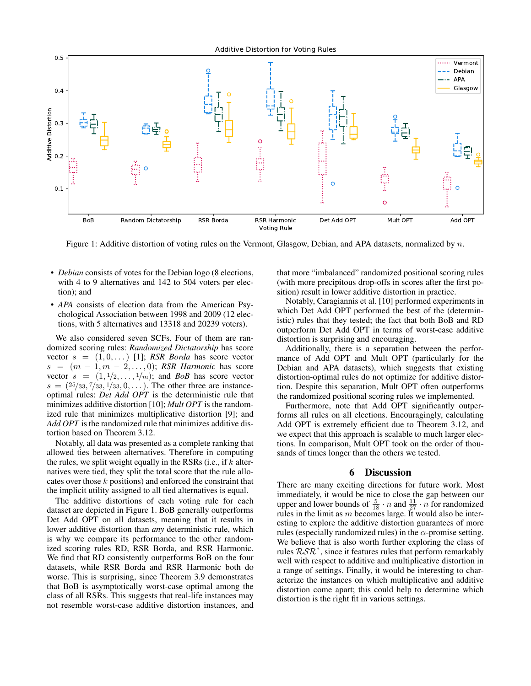Additive Distortion for Voting Rules



Figure 1: Additive distortion of voting rules on the Vermont, Glasgow, Debian, and APA datasets, normalized by n.

- *Debian* consists of votes for the Debian logo (8 elections, with 4 to 9 alternatives and 142 to 504 voters per election); and
- *APA* consists of election data from the American Psychological Association between 1998 and 2009 (12 elections, with 5 alternatives and 13318 and 20239 voters).

We also considered seven SCFs. Four of them are randomized scoring rules: *Randomized Dictatorship* has score vector  $s = (1, 0, ...)$  [1]; *RSR Borda* has score vector  $s = (m-1, m-2, \ldots, 0)$ ; *RSR Harmonic* has score vector  $s = (1, 1/2, \ldots, 1/m)$ ; and *BoB* has score vector  $s = (25/33, 7/33, 1/33, 0, ...)$ . The other three are instanceoptimal rules: *Det Add OPT* is the deterministic rule that minimizes additive distortion [10]; *Mult OPT* is the randomized rule that minimizes multiplicative distortion [9]; and *Add OPT* is the randomized rule that minimizes additive distortion based on Theorem 3.12.

Notably, all data was presented as a complete ranking that allowed ties between alternatives. Therefore in computing the rules, we split weight equally in the RSRs (i.e., if  $k$  alternatives were tied, they split the total score that the rule allocates over those  $k$  positions) and enforced the constraint that the implicit utility assigned to all tied alternatives is equal.

The additive distortions of each voting rule for each dataset are depicted in Figure 1. BoB generally outperforms Det Add OPT on all datasets, meaning that it results in lower additive distortion than *any* deterministic rule, which is why we compare its performance to the other randomized scoring rules RD, RSR Borda, and RSR Harmonic. We find that RD consistently outperforms BoB on the four datasets, while RSR Borda and RSR Harmonic both do worse. This is surprising, since Theorem 3.9 demonstrates that BoB is asymptotically worst-case optimal among the class of all RSRs. This suggests that real-life instances may not resemble worst-case additive distortion instances, and

that more "imbalanced" randomized positional scoring rules (with more precipitous drop-offs in scores after the first position) result in lower additive distortion in practice.

Notably, Caragiannis et al. [10] performed experiments in which Det Add OPT performed the best of the (deterministic) rules that they tested; the fact that both BoB and RD outperform Det Add OPT in terms of worst-case additive distortion is surprising and encouraging.

Additionally, there is a separation between the performance of Add OPT and Mult OPT (particularly for the Debian and APA datasets), which suggests that existing distortion-optimal rules do not optimize for additive distortion. Despite this separation, Mult OPT often outperforms the randomized positional scoring rules we implemented.

Furthermore, note that Add OPT significantly outperforms all rules on all elections. Encouragingly, calculating Add OPT is extremely efficient due to Theorem 3.12, and we expect that this approach is scalable to much larger elections. In comparison, Mult OPT took on the order of thousands of times longer than the others we tested.

## 6 Discussion

There are many exciting directions for future work. Most immediately, it would be nice to close the gap between our upper and lower bounds of  $\frac{5}{18} \cdot n$  and  $\frac{11}{27} \cdot n$  for randomized rules in the limit as  $m$  becomes large. It would also be interesting to explore the additive distortion guarantees of more rules (especially randomized rules) in the  $\alpha$ -promise setting. We believe that is also worth further exploring the class of rules  $RSR^*$ , since it features rules that perform remarkably well with respect to additive and multiplicative distortion in a range of settings. Finally, it would be interesting to characterize the instances on which multiplicative and additive distortion come apart; this could help to determine which distortion is the right fit in various settings.